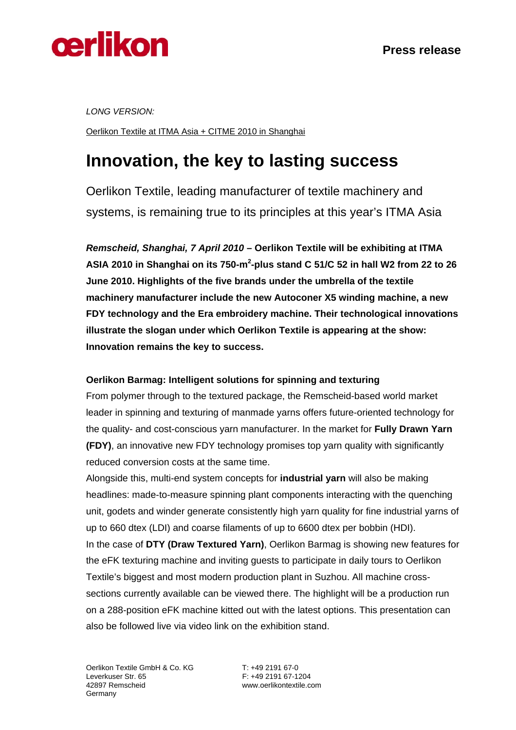

*LONG VERSION:* 

Oerlikon Textile at ITMA Asia + CITME 2010 in Shanghai

# **Innovation, the key to lasting success**

Oerlikon Textile, leading manufacturer of textile machinery and systems, is remaining true to its principles at this year's ITMA Asia

*Remscheid, Shanghai, 7 April 2010* **– Oerlikon Textile will be exhibiting at ITMA**  ASIA 2010 in Shanghai on its 750-m<sup>2</sup>-plus stand C 51/C 52 in hall W2 from 22 to 26 **June 2010. Highlights of the five brands under the umbrella of the textile machinery manufacturer include the new Autoconer X5 winding machine, a new FDY technology and the Era embroidery machine. Their technological innovations illustrate the slogan under which Oerlikon Textile is appearing at the show: Innovation remains the key to success.**

### **Oerlikon Barmag: Intelligent solutions for spinning and texturing**

From polymer through to the textured package, the Remscheid-based world market leader in spinning and texturing of manmade yarns offers future-oriented technology for the quality- and cost-conscious yarn manufacturer. In the market for **Fully Drawn Yarn (FDY)**, an innovative new FDY technology promises top yarn quality with significantly reduced conversion costs at the same time.

Alongside this, multi-end system concepts for **industrial yarn** will also be making headlines: made-to-measure spinning plant components interacting with the quenching unit, godets and winder generate consistently high yarn quality for fine industrial yarns of up to 660 dtex (LDI) and coarse filaments of up to 6600 dtex per bobbin (HDI). In the case of **DTY (Draw Textured Yarn)**, Oerlikon Barmag is showing new features for the eFK texturing machine and inviting guests to participate in daily tours to Oerlikon Textile's biggest and most modern production plant in Suzhou. All machine crosssections currently available can be viewed there. The highlight will be a production run on a 288-position eFK machine kitted out with the latest options. This presentation can also be followed live via video link on the exhibition stand.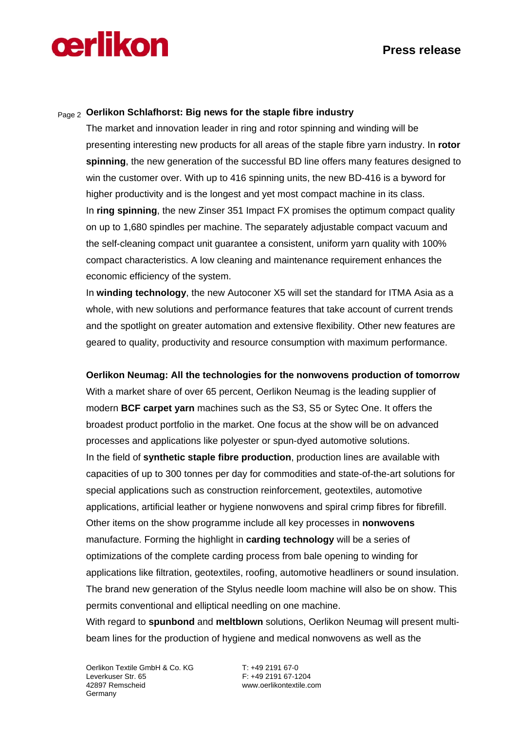

### Page 2 **Oerlikon Schlafhorst: Big news for the staple fibre industry**

The market and innovation leader in ring and rotor spinning and winding will be presenting interesting new products for all areas of the staple fibre yarn industry. In **rotor spinning**, the new generation of the successful BD line offers many features designed to win the customer over. With up to 416 spinning units, the new BD-416 is a byword for higher productivity and is the longest and yet most compact machine in its class. In **ring spinning**, the new Zinser 351 Impact FX promises the optimum compact quality on up to 1,680 spindles per machine. The separately adjustable compact vacuum and the self-cleaning compact unit guarantee a consistent, uniform yarn quality with 100% compact characteristics. A low cleaning and maintenance requirement enhances the economic efficiency of the system.

In **winding technology**, the new Autoconer X5 will set the standard for ITMA Asia as a whole, with new solutions and performance features that take account of current trends and the spotlight on greater automation and extensive flexibility. Other new features are geared to quality, productivity and resource consumption with maximum performance.

### **Oerlikon Neumag: All the technologies for the nonwovens production of tomorrow**

With a market share of over 65 percent, Oerlikon Neumag is the leading supplier of modern **BCF carpet yarn** machines such as the S3, S5 or Sytec One. It offers the broadest product portfolio in the market. One focus at the show will be on advanced processes and applications like polyester or spun-dyed automotive solutions. In the field of **synthetic staple fibre production**, production lines are available with capacities of up to 300 tonnes per day for commodities and state-of-the-art solutions for special applications such as construction reinforcement, geotextiles, automotive applications, artificial leather or hygiene nonwovens and spiral crimp fibres for fibrefill. Other items on the show programme include all key processes in **nonwovens** manufacture. Forming the highlight in **carding technology** will be a series of optimizations of the complete carding process from bale opening to winding for applications like filtration, geotextiles, roofing, automotive headliners or sound insulation. The brand new generation of the Stylus needle loom machine will also be on show. This permits conventional and elliptical needling on one machine.

With regard to **spunbond** and **meltblown** solutions, Oerlikon Neumag will present multibeam lines for the production of hygiene and medical nonwovens as well as the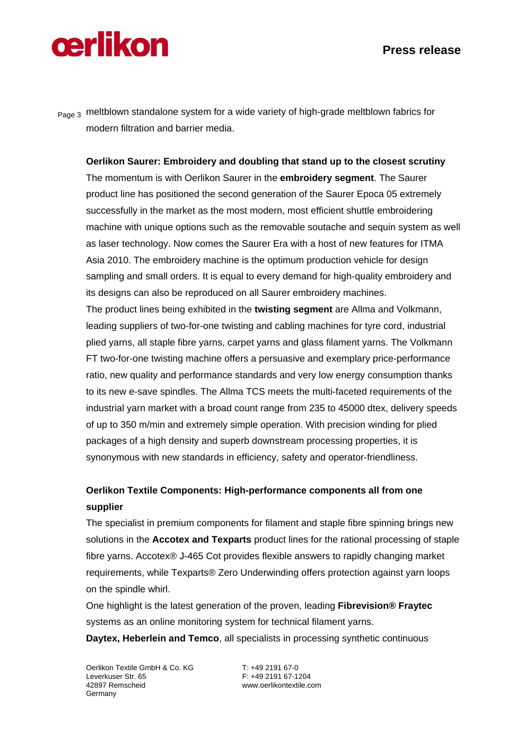# cerlikon

Page 3 meltblown standalone system for a wide variety of high-grade meltblown fabrics for modern filtration and barrier media.

### **Oerlikon Saurer: Embroidery and doubling that stand up to the closest scrutiny**

The momentum is with Oerlikon Saurer in the **embroidery segment**. The Saurer product line has positioned the second generation of the Saurer Epoca 05 extremely successfully in the market as the most modern, most efficient shuttle embroidering machine with unique options such as the removable soutache and sequin system as well as laser technology. Now comes the Saurer Era with a host of new features for ITMA Asia 2010. The embroidery machine is the optimum production vehicle for design sampling and small orders. It is equal to every demand for high-quality embroidery and its designs can also be reproduced on all Saurer embroidery machines.

The product lines being exhibited in the **twisting segment** are Allma and Volkmann, leading suppliers of two-for-one twisting and cabling machines for tyre cord, industrial plied yarns, all staple fibre yarns, carpet yarns and glass filament yarns. The Volkmann FT two-for-one twisting machine offers a persuasive and exemplary price-performance ratio, new quality and performance standards and very low energy consumption thanks to its new e-save spindles. The Allma TCS meets the multi-faceted requirements of the industrial yarn market with a broad count range from 235 to 45000 dtex, delivery speeds of up to 350 m/min and extremely simple operation. With precision winding for plied packages of a high density and superb downstream processing properties, it is synonymous with new standards in efficiency, safety and operator-friendliness.

# **Oerlikon Textile Components: High-performance components all from one supplier**

The specialist in premium components for filament and staple fibre spinning brings new solutions in the **Accotex and Texparts** product lines for the rational processing of staple fibre yarns. Accotex® J-465 Cot provides flexible answers to rapidly changing market requirements, while Texparts® Zero Underwinding offers protection against yarn loops on the spindle whirl.

One highlight is the latest generation of the proven, leading **Fibrevision® Fraytec** systems as an online monitoring system for technical filament yarns. **Daytex, Heberlein and Temco**, all specialists in processing synthetic continuous